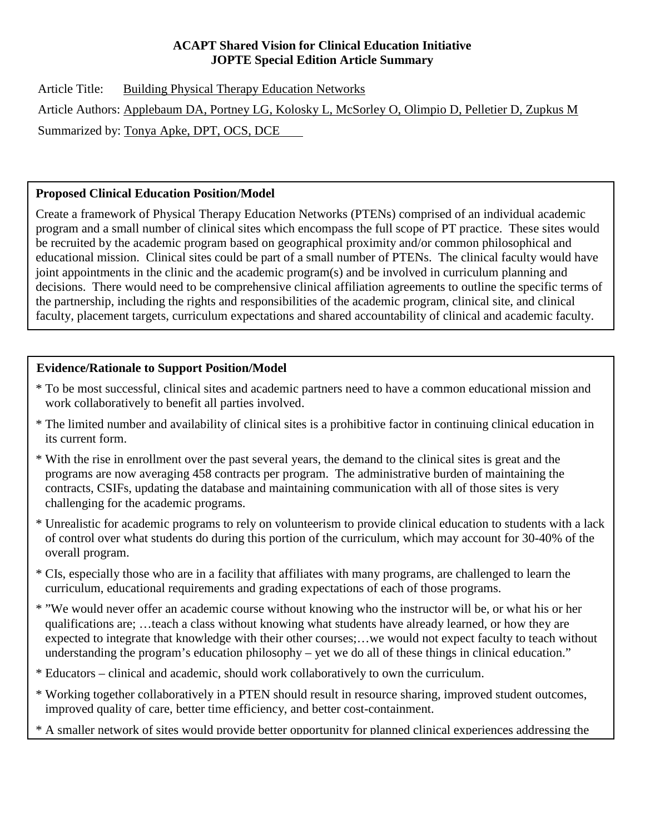## **ACAPT Shared Vision for Clinical Education Initiative JOPTE Special Edition Article Summary**

Article Title: Building Physical Therapy Education Networks Article Authors: Applebaum DA, Portney LG, Kolosky L, McSorley O, Olimpio D, Pelletier D, Zupkus M Summarized by: Tonya Apke, DPT, OCS, DCE

# **Proposed Clinical Education Position/Model**

Create a framework of Physical Therapy Education Networks (PTENs) comprised of an individual academic program and a small number of clinical sites which encompass the full scope of PT practice. These sites would be recruited by the academic program based on geographical proximity and/or common philosophical and educational mission. Clinical sites could be part of a small number of PTENs. The clinical faculty would have joint appointments in the clinic and the academic program(s) and be involved in curriculum planning and decisions. There would need to be comprehensive clinical affiliation agreements to outline the specific terms of the partnership, including the rights and responsibilities of the academic program, clinical site, and clinical faculty, placement targets, curriculum expectations and shared accountability of clinical and academic faculty.

# **Evidence/Rationale to Support Position/Model**

 $\overline{\phantom{a}}$ 

- \* To be most successful, clinical sites and academic partners need to have a common educational mission and work collaboratively to benefit all parties involved.
- \* The limited number and availability of clinical sites is a prohibitive factor in continuing clinical education in its current form.
- \* With the rise in enrollment over the past several years, the demand to the clinical sites is great and the programs are now averaging 458 contracts per program. The administrative burden of maintaining the contracts, CSIFs, updating the database and maintaining communication with all of those sites is very challenging for the academic programs.
- \* Unrealistic for academic programs to rely on volunteerism to provide clinical education to students with a lack of control over what students do during this portion of the curriculum, which may account for 30-40% of the overall program.
- \* CIs, especially those who are in a facility that affiliates with many programs, are challenged to learn the curriculum, educational requirements and grading expectations of each of those programs.
- \* "We would never offer an academic course without knowing who the instructor will be, or what his or her qualifications are; …teach a class without knowing what students have already learned, or how they are expected to integrate that knowledge with their other courses;…we would not expect faculty to teach without understanding the program's education philosophy – yet we do all of these things in clinical education."
- \* Educators clinical and academic, should work collaboratively to own the curriculum.
- \* Working together collaboratively in a PTEN should result in resource sharing, improved student outcomes, improved quality of care, better time efficiency, and better cost-containment.
- \* A smaller network of sites would provide better opportunity for planned clinical experiences addressing the